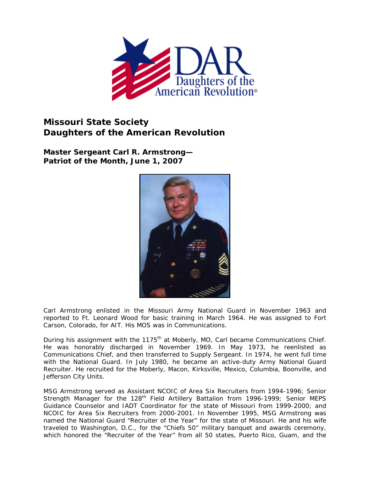

## **Missouri State Society Daughters of the American Revolution**

**Master Sergeant Carl R. Armstrong— Patriot of the Month, June 1, 2007** 



Carl Armstrong enlisted in the Missouri Army National Guard in November 1963 and reported to Ft. Leonard Wood for basic training in March 1964. He was assigned to Fort Carson, Colorado, for AIT. His MOS was in Communications.

During his assignment with the 1175<sup>th</sup> at Moberly, MO, Carl became Communications Chief. He was honorably discharged in November 1969. In May 1973, he reenlisted as Communications Chief, and then transferred to Supply Sergeant. In 1974, he went full time with the National Guard. In July 1980, he became an active-duty Army National Guard Recruiter. He recruited for the Moberly, Macon, Kirksville, Mexico, Columbia, Boonville, and Jefferson City Units.

MSG Armstrong served as Assistant NCOIC of Area Six Recruiters from 1994-1996; Senior Strength Manager for the 128<sup>th</sup> Field Artillery Battalion from 1996-1999; Senior MEPS Guidance Counselor and IADT Coordinator for the state of Missouri from 1999-2000; and NCOIC for Area Six Recruiters from 2000-2001. In November 1995, MSG Armstrong was named the National Guard "Recruiter of the Year" for the state of Missouri. He and his wife traveled to Washington, D.C., for the "Chiefs 50" military banquet and awards ceremony, which honored the "Recruiter of the Year" from all 50 states, Puerto Rico, Guam, and the